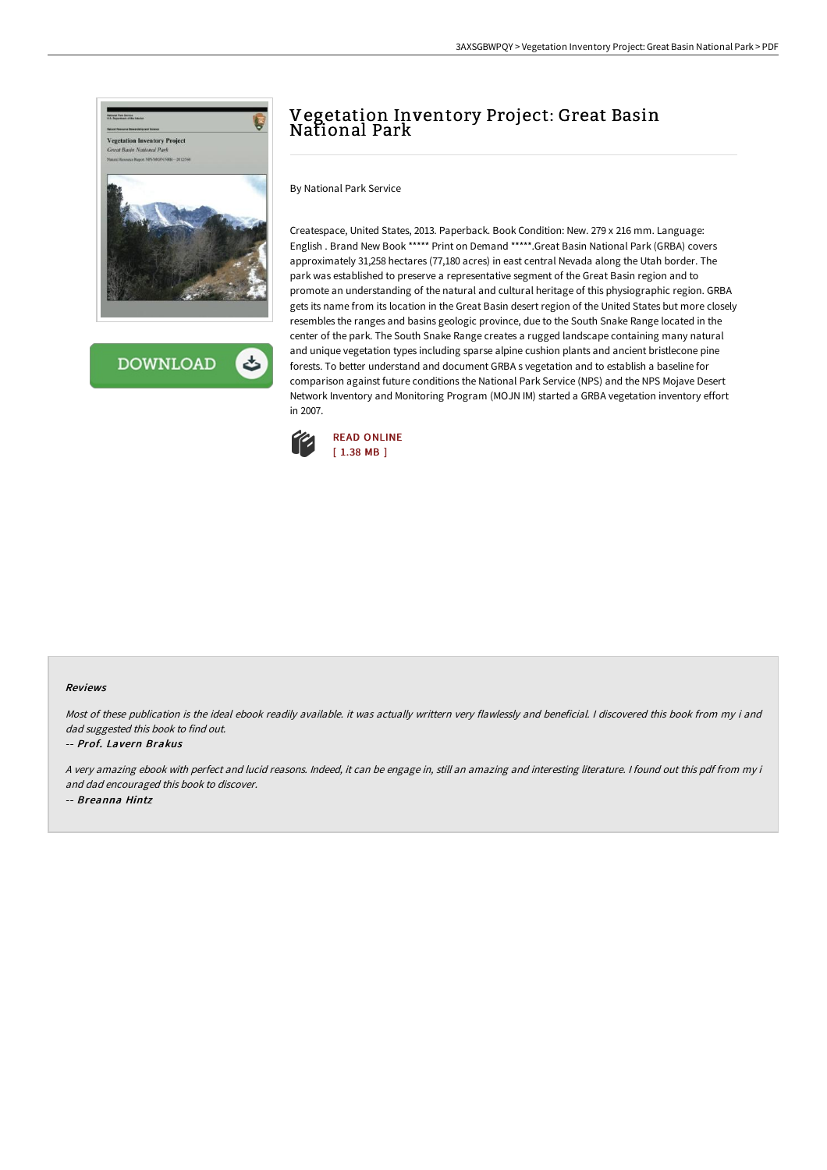

**DOWNLOAD** 

# Vegetation Inventory Project: Great Basin National Park

By National Park Service

Createspace, United States, 2013. Paperback. Book Condition: New. 279 x 216 mm. Language: English . Brand New Book \*\*\*\*\* Print on Demand \*\*\*\*\*.Great Basin National Park (GRBA) covers approximately 31,258 hectares (77,180 acres) in east central Nevada along the Utah border. The park was established to preserve a representative segment of the Great Basin region and to promote an understanding of the natural and cultural heritage of this physiographic region. GRBA gets its name from its location in the Great Basin desert region of the United States but more closely resembles the ranges and basins geologic province, due to the South Snake Range located in the center of the park. The South Snake Range creates a rugged landscape containing many natural and unique vegetation types including sparse alpine cushion plants and ancient bristlecone pine forests. To better understand and document GRBA s vegetation and to establish a baseline for comparison against future conditions the National Park Service (NPS) and the NPS Mojave Desert Network Inventory and Monitoring Program (MOJN IM) started a GRBA vegetation inventory effort in 2007.



#### Reviews

Most of these publication is the ideal ebook readily available. it was actually writtern very flawlessly and beneficial. I discovered this book from my i and dad suggested this book to find out.

### -- Prof. Lavern Brakus

<sup>A</sup> very amazing ebook with perfect and lucid reasons. Indeed, it can be engage in, still an amazing and interesting literature. <sup>I</sup> found out this pdf from my i and dad encouraged this book to discover. -- Breanna Hintz